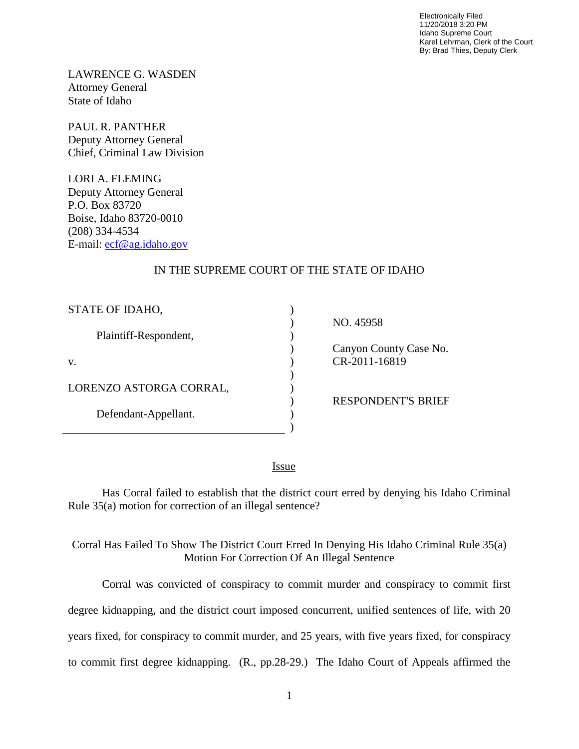Electronically Filed 11/20/2018 3:20 PM Idaho Supreme Court Karel Lehrman, Clerk of the Court By: Brad Thies, Deputy Clerk

LAWRENCE G. WASDEN Attorney General State of Idaho

PAUL R. PANTHER Deputy Attorney General Chief, Criminal Law Division

LORI A. FLEMING Deputy Attorney General P.O. Box 83720 Boise, Idaho 83720-0010 (208) 334-4534 E-mail: [ecf@ag.idaho.gov](mailto:ecf@ag.idaho.gov)

## IN THE SUPREME COURT OF THE STATE OF IDAHO

| STATE OF IDAHO,         |  |
|-------------------------|--|
| Plaintiff-Respondent,   |  |
| V.                      |  |
| LORENZO ASTORGA CORRAL, |  |
| Defendant-Appellant.    |  |

NO. 45958

 Canyon County Case No. CR-2011-16819

RESPONDENT'S BRIEF

<u>Issue</u>

Has Corral failed to establish that the district court erred by denying his Idaho Criminal Rule 35(a) motion for correction of an illegal sentence?

## Corral Has Failed To Show The District Court Erred In Denying His Idaho Criminal Rule 35(a) Motion For Correction Of An Illegal Sentence

Corral was convicted of conspiracy to commit murder and conspiracy to commit first degree kidnapping, and the district court imposed concurrent, unified sentences of life, with 20 years fixed, for conspiracy to commit murder, and 25 years, with five years fixed, for conspiracy to commit first degree kidnapping. (R., pp.28-29.) The Idaho Court of Appeals affirmed the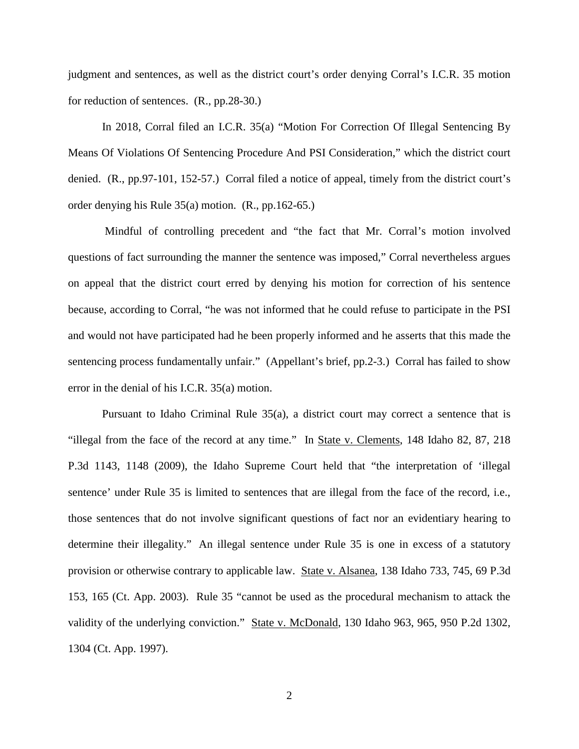judgment and sentences, as well as the district court's order denying Corral's I.C.R. 35 motion for reduction of sentences. (R., pp.28-30.)

In 2018, Corral filed an I.C.R. 35(a) "Motion For Correction Of Illegal Sentencing By Means Of Violations Of Sentencing Procedure And PSI Consideration," which the district court denied. (R., pp.97-101, 152-57.) Corral filed a notice of appeal, timely from the district court's order denying his Rule 35(a) motion. (R., pp.162-65.)

 Mindful of controlling precedent and "the fact that Mr. Corral's motion involved questions of fact surrounding the manner the sentence was imposed," Corral nevertheless argues on appeal that the district court erred by denying his motion for correction of his sentence because, according to Corral, "he was not informed that he could refuse to participate in the PSI and would not have participated had he been properly informed and he asserts that this made the sentencing process fundamentally unfair." (Appellant's brief, pp.2-3.) Corral has failed to show error in the denial of his I.C.R. 35(a) motion.

Pursuant to Idaho Criminal Rule 35(a), a district court may correct a sentence that is "illegal from the face of the record at any time." In State v. Clements, 148 Idaho 82, 87, 218 P.3d 1143, 1148 (2009), the Idaho Supreme Court held that "the interpretation of 'illegal sentence' under Rule 35 is limited to sentences that are illegal from the face of the record, i.e., those sentences that do not involve significant questions of fact nor an evidentiary hearing to determine their illegality." An illegal sentence under Rule 35 is one in excess of a statutory provision or otherwise contrary to applicable law. State v. Alsanea, 138 Idaho 733, 745, 69 P.3d 153, 165 (Ct. App. 2003). Rule 35 "cannot be used as the procedural mechanism to attack the validity of the underlying conviction." State v. McDonald, 130 Idaho 963, 965, 950 P.2d 1302, 1304 (Ct. App. 1997).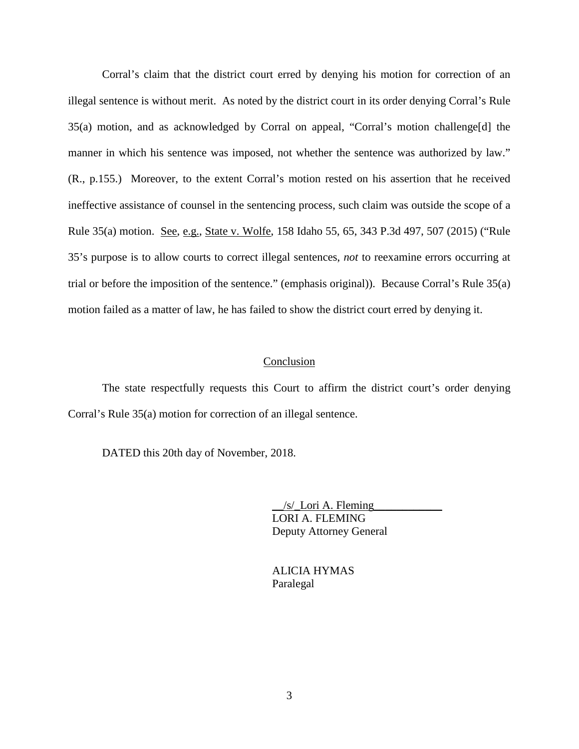Corral's claim that the district court erred by denying his motion for correction of an illegal sentence is without merit. As noted by the district court in its order denying Corral's Rule 35(a) motion, and as acknowledged by Corral on appeal, "Corral's motion challenge[d] the manner in which his sentence was imposed, not whether the sentence was authorized by law." (R., p.155.) Moreover, to the extent Corral's motion rested on his assertion that he received ineffective assistance of counsel in the sentencing process, such claim was outside the scope of a Rule 35(a) motion. See, e.g., State v. Wolfe, 158 Idaho 55, 65, 343 P.3d 497, 507 (2015) ("Rule 35's purpose is to allow courts to correct illegal sentences, *not* to reexamine errors occurring at trial or before the imposition of the sentence." (emphasis original)). Because Corral's Rule 35(a) motion failed as a matter of law, he has failed to show the district court erred by denying it.

## Conclusion

The state respectfully requests this Court to affirm the district court's order denying Corral's Rule 35(a) motion for correction of an illegal sentence.

DATED this 20th day of November, 2018.

 $/s$ /\_Lori A. Fleming LORI A. FLEMING Deputy Attorney General

 ALICIA HYMAS Paralegal